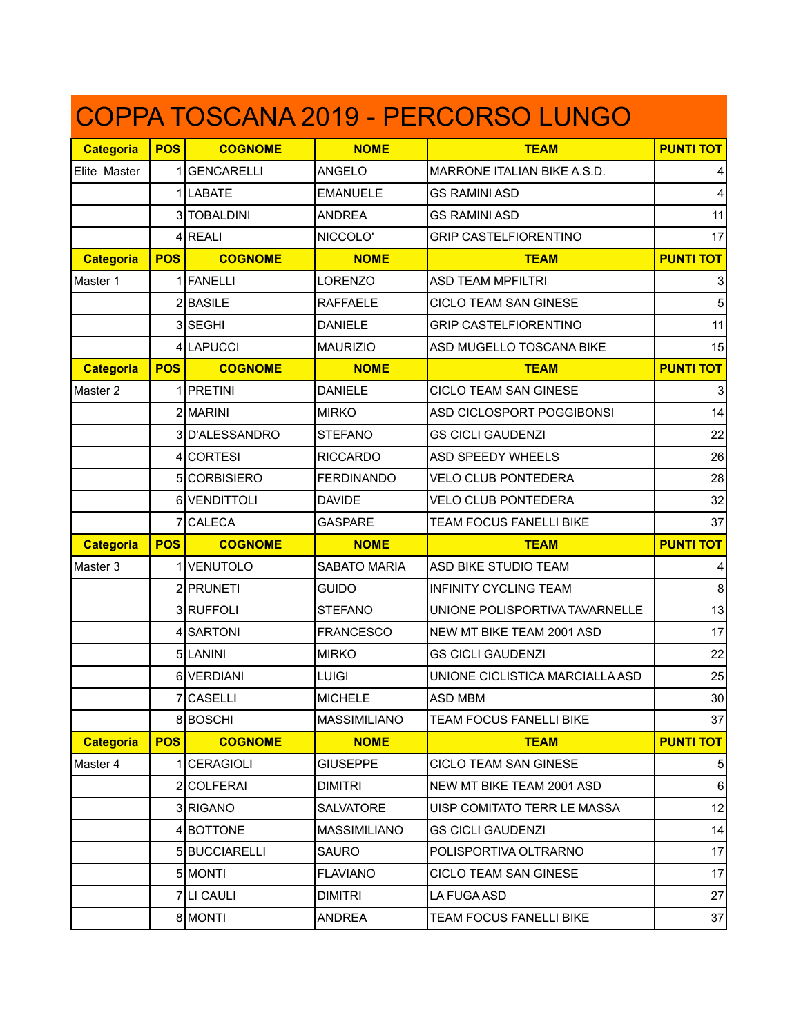| COPPA TOSCANA 2019 - PERCORSO LUNGO |            |                   |                     |                                 |                  |  |  |  |
|-------------------------------------|------------|-------------------|---------------------|---------------------------------|------------------|--|--|--|
| <b>Categoria</b>                    | <b>POS</b> | <b>COGNOME</b>    | <b>NOME</b>         | <b>TEAM</b>                     | <b>PUNTI TOT</b> |  |  |  |
| Elite Master                        |            | 1 GENCARELLI      | <b>ANGELO</b>       | MARRONE ITALIAN BIKE A.S.D.     |                  |  |  |  |
|                                     |            | 1 LABATE          | <b>EMANUELE</b>     | <b>GS RAMINI ASD</b>            | 4                |  |  |  |
|                                     |            | 3 TOBALDINI       | <b>ANDREA</b>       | <b>GS RAMINI ASD</b>            | 11               |  |  |  |
|                                     |            | 4 REALI           | NICCOLO'            | <b>GRIP CASTELFIORENTINO</b>    | 17               |  |  |  |
| <b>Categoria</b>                    | <b>POS</b> | <b>COGNOME</b>    | <b>NOME</b>         | <b>TEAM</b>                     | <b>PUNTI TOT</b> |  |  |  |
| Master 1                            |            | 1 FANELLI         | <b>LORENZO</b>      | <b>ASD TEAM MPFILTRI</b>        |                  |  |  |  |
|                                     |            | $2$ <b>BASILE</b> | <b>RAFFAELE</b>     | CICLO TEAM SAN GINESE           | 5                |  |  |  |
|                                     |            | 3 SEGHI           | <b>DANIELE</b>      | <b>GRIP CASTELFIORENTINO</b>    | 11               |  |  |  |
|                                     |            | 4 LAPUCCI         | <b>MAURIZIO</b>     | ASD MUGELLO TOSCANA BIKE        | 15               |  |  |  |
| <b>Categoria</b>                    | <b>POS</b> | <b>COGNOME</b>    | <b>NOME</b>         | <b>TEAM</b>                     | <b>PUNTI TOT</b> |  |  |  |
| Master 2                            |            | 1 PRETINI         | <b>DANIELE</b>      | CICLO TEAM SAN GINESE           | 3                |  |  |  |
|                                     |            | 2 MARINI          | <b>MIRKO</b>        | ASD CICLOSPORT POGGIBONSI       | 14               |  |  |  |
|                                     |            | 3D'ALESSANDRO     | <b>STEFANO</b>      | <b>GS CICLI GAUDENZI</b>        | 22               |  |  |  |
|                                     |            | 4 CORTESI         | <b>RICCARDO</b>     | <b>ASD SPEEDY WHEELS</b>        | 26               |  |  |  |
|                                     |            | 5 CORBISIERO      | <b>FERDINANDO</b>   | <b>VELO CLUB PONTEDERA</b>      | 28               |  |  |  |
|                                     |            | 6 VENDITTOLI      | <b>DAVIDE</b>       | <b>VELO CLUB PONTEDERA</b>      | 32               |  |  |  |
|                                     |            | 7 CALECA          | <b>GASPARE</b>      | TEAM FOCUS FANELLI BIKE         | 37               |  |  |  |
| <b>Categoria</b>                    | <b>POS</b> | <b>COGNOME</b>    | <b>NOME</b>         | <b>TEAM</b>                     | <b>PUNTI TOT</b> |  |  |  |
| Master 3                            |            | 1 VENUTOLO        | <b>SABATO MARIA</b> | ASD BIKE STUDIO TEAM            | 4                |  |  |  |
|                                     |            | 2 PRUNETI         | <b>GUIDO</b>        | <b>INFINITY CYCLING TEAM</b>    | 8                |  |  |  |
|                                     |            | 3RUFFOLI          | <b>STEFANO</b>      | UNIONE POLISPORTIVA TAVARNELLE  | 13               |  |  |  |
|                                     |            | 4 SARTONI         | <b>FRANCESCO</b>    | NEW MT BIKE TEAM 2001 ASD       | 17               |  |  |  |
|                                     |            | 5LANINI           | <b>MIRKO</b>        | <b>GS CICLI GAUDENZI</b>        | 22               |  |  |  |
|                                     |            | 6 VERDIANI        | <b>LUIGI</b>        | UNIONE CICLISTICA MARCIALLA ASD | 25               |  |  |  |
|                                     |            | 7 CASELLI         | <b>MICHELE</b>      | <b>ASD MBM</b>                  | 30               |  |  |  |
|                                     |            | 8BOSCHI           | <b>MASSIMILIANO</b> | TEAM FOCUS FANELLI BIKE         | 37               |  |  |  |
| <b>Categoria</b>                    | <b>POS</b> | <b>COGNOME</b>    | <b>NOME</b>         | <b>TEAM</b>                     | <b>PUNTI TOT</b> |  |  |  |
| Master 4                            |            | 1 CERAGIOLI       | <b>GIUSEPPE</b>     | CICLO TEAM SAN GINESE           | 5                |  |  |  |
|                                     |            | 2 COLFERAI        | <b>DIMITRI</b>      | NEW MT BIKE TEAM 2001 ASD       | $\,6\,$          |  |  |  |
|                                     |            | 3RIGANO           | <b>SALVATORE</b>    | UISP COMITATO TERR LE MASSA     | 12               |  |  |  |
|                                     |            | 4 BOTTONE         | <b>MASSIMILIANO</b> | <b>GS CICLI GAUDENZI</b>        | 14               |  |  |  |
|                                     |            | 5 BUCCIARELLI     | <b>SAURO</b>        | POLISPORTIVA OLTRARNO           | 17               |  |  |  |
|                                     |            | 5 MONTI           | <b>FLAVIANO</b>     | CICLO TEAM SAN GINESE           | 17               |  |  |  |
|                                     |            | 7 LI CAULI        | <b>DIMITRI</b>      | LA FUGA ASD                     | 27               |  |  |  |
|                                     |            | 8 MONTI           | <b>ANDREA</b>       | TEAM FOCUS FANELLI BIKE         | 37               |  |  |  |